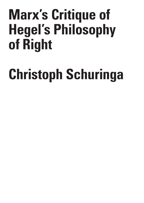## **Marx's Critique of Hegel's Philosophy of Right**

# **Christoph Schuringa**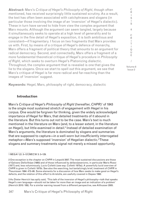**Abstract:** Marx's *Critique of Hegel's Philosophy of Right*, though often mentioned, has received surprisingly little sustained scrutiny. As a result, the text has often been associated with catchphrases and slogans (in particular those involving the image of an 'inversion' of Hegel's dialectic). These in turn have served to hide from view the complex argument that Marx mounts. Although the argument can seem tangled, largely because it simultaneously seeks to operate at a high level of generality and to engage in the fine detail of Hegel's exposition, it is both ambitious and consistent—if fragmentary. I focus on two fragments that Marx provides us with. First, by means of a critique of Hegel's defence of monarchy, Marx offers a fragment of political theory that amounts to an argument for radical democracy. Second, and connectedly, Marx offers a fragment of a more fundamental theoretical critique of Hegel's procedure in *Philosophy of Right*, which seeks to overturn Hegel's Platonizing dialectic. Throughout, the complex argument that is revealed is one that gives the lie to the slogans. Once we start to spell out this argument, we see that Marx's critique of Hegel is far more radical and far-reaching than the images of 'inversion' suggest.

**Keywords:** Hegel, Marx, philosophy of right, democracy, dialectic

### **Introduction**

Marx's *Critique of Hegel's Philosophy of Right* (hereafter, *CHPR*)1 of 1843 is the single most sustained stretch of engagement with Hegel in his corpus. One would be forgiven for thinking, given the widely acknowledged importance of Hegel for Marx, that detailed treatments of it abound in the literature. But this turns out not to be the case. Marx's text is much mentioned in the literature on Marx (and, to a lesser extent, in the literature on Hegel), but little examined in detail.<sup>2</sup> Instead of detailed examination of Marx's arguments, the literature is dominated by slogans and summaries that are supposed to capture—in a well-worn but insufficiently interrogated metaphor—Marx's supposed 'inversion' of Hegelian dialectic.<sup>3</sup>These slogans and summary treatments signal not merely a missed opportunity.

1 MEGA2 I/2: 3–137/MECW 3: 3–129.

2 One exception is the chapter on *CHPR* in Leopold 2007. The most sustained discussions are those of Galvano Della Volpe (1980) and of those influenced by *dellavolpeanismo*, in particular Mario Rossi (1977) and, less voluminously, Lucio Colletti (see esp. Colletti 1975a). A powerfully lucid overview of *CHPR* is given in Colletti 1975b. See also the searching, but tantalizingly brief, treatment of *CHPR* in Theunissen 1994: 472–86. Some elements for a discussion of how Marx seeks to make good on Hegel's defects, and the relation of this effort to Aristotle, are usefully covered in Depew 1992.

3 As Dieter Henrich has aptly said, 'This talk of the inversion of Hegel's philosophy—talk that speaks Hegel's own language—should not be taken for more than an image and an indication of a problem' (Henrich 2010: 189). For a similar warning issued from a different perspective, see Althusser 2005.

I S & C R I T  $\mathbf{I}$ Q U E / Volume 8 Issue 2

C R I S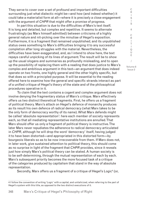They serve to cover over a set of profound and important difficulties surrounding just what dialectic might be—and how (and indeed whether) it could take a materialist form at all—where it is precisely a close engagement with the argument of *CHPR* that might offer a promise of progress.

In part this situation is due to the difficulties of Marx's text itself. It is long and detailed, but complex and repetitive. It seems to alternate frustratingly (as Marx himself admitted) between criticisms of a highly general nature and nit-picking over the minutiae of Hegel's exposition. Furthermore, it is a fragment that remained unpublished; and its unpublished status owes something to Marx's difficulties bringing it to any successful completion after long struggles with the material. Nevertheless, the difficulties have been exaggerated, and, as I intend to show here, the text repays careful unpicking of its lines of argument. The result will be to show up the usual slogans and summaries as profoundly misleading, and to open up the possibility of replacing them with a reading that does justice to Marx's complex and ambitious argument in this text—an argument that does indeed operate on two fronts, one highly general and the other highly specific, but that does so with a principled purpose. It will be essential to the reading offered here to examine how the general and specific strands interact as part of a unified critique of Hegel's theory of the state and of the philosophical procedures operative in it.

 To claim that the text contains a cogent and complex argument does not involve denying the fragmentary status of Marx's critique. Marx effectively offers us two distinct theoretical fragments. First, he offers us a fragment of political theory. Marx's attack on Hegel's defence of monarchy produces as its result his own defence of radical democracy (what Marx takes to be the only form of democracy worthy of its name). What Marx defends might be called 'absolute representation': here each member of society represents each, so that all mediating representative institutions are annulled. That Marx should offer us only a fragment of political theory is instructive. The later Marx never repudiates the adherence to radical democracy articulated in *CHPR*, although he will drop the word 'democracy' itself, having judged it to have been distorted—and appropriated in this distorted form—by bourgeois liberals so as to be now irrecoverable from them. If Marx does not, in later work, give sustained attention to political theory, this should come as no surprise in light of the fragment that *CHPR* provides, since it reveals just how simply Marx's political theory can be stated. A human society is to be self-determining, through the mutual representation of each by each. Marx's subsequent priority becomes the more focused task of a critique of the categories produced by capitalism that stand in the way of absolute representation.

Secondly, Marx offers us a fragment of a critique of Hegel's Logic<sup>4</sup> (or,

/ Volume 8

Issue 2

C R I S I S & C R I T  $\mathbf{I}$ Q U E

<sup>4</sup> I follow the convention of writing 'Logic' with a capital, and unitalicized, when referring to the part of Hegel's system with this title, as opposed to the two distinct executions of it.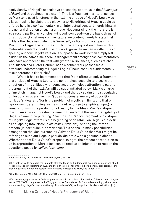equivalently, of Hegel's speculative philosophy, operative in the *Philosophy of Right* and throughout his system). This is a fragment in a literal sense: as Marx tells us at junctures in the text, the critique of Hegel's Logic was a larger task to be elaborated elsewhere.5 His critique of Hegel's Logic as offered here is also fragmentary in an intellectual sense: it merely hints at the general direction of such a critique. Not surprisingly, the literature is, as a result, particularly unclear—indeed, confused—on the basic thrust of this critique. Sometimes commentators are content merely to state that in Marx the Hegelian dialectic is 'inverted', as fits with the slogan that Marx turns Hegel 'the right way up', but the large question of how such a materialist dialectic could possibly work, given the immense difficulties of spelling out how Hegel's version is supposed to work, is then simply left aside.6 At the same time, there is disagreement among those commentators who have approached the text with greater seriousness, such as Michael Theunissen and Dieter Henrich, as to whether Marx possessed a profound understanding of Hegel's Logic (Theunissen) or fundamentally misunderstood it (Henrich).<sup>7</sup>

 While it has to be remembered that Marx offers us only a fragment of a critique of Hegel's Logic, it is nonetheless possible to discern the direction of this critique with some accuracy if close attention is paid to the argument of the text. As will be substantiated below, Marx's charge of 'mysticism' against Hegel's Logic (and thereby against his speculative philosophy as operative in *PR*) does not consist merely of opposition to Hegel's idealism. Nor is the problem of mysticism limited to that of 'apriorism' (determining reality without recourse to empirical input) or 'emanationism' (the production of reality by the Idea). Marx's critique of mysticism strikes more deeply, aiming to undercut the very intelligibility of Hegel's claim to be pursuing *dialectic* at all. Marx's fragment of a critique of Hegel's Logic offers us the beginning of an attack on Hegel's dialectic as collapsing into Platonic *diairesis* ('division'), sharing the latter's defects (in particular, arbitrariness). This opens up many possibilities, among them the idea pursued by Galvano Della Volpe that Marx might be offering to supplant Hegel's pseudo-dialectic with a genuine dialectic. Whether or not Della Volpe's proposal is right, the present contribution to an interpretation of Marx's text can be read as an injunction to reopen the questions posed by *dellavolpeanismo*. 8

5 See especially the remark at MEGA2 I/2: 98/MECW 3: 88.

I S & C R I T I Q U E / Volume 8

C R I S

Issue 2

<sup>6</sup> It is instructive to compare the laudable effort to focus on fundamental, even basic, questions about Hegel's dialectic in Horstmann 1978, and the difficulties encountered. For a general discussion of the problematic state of recent literature on dialectic in Hegel and Marx, see Lange 2016.

<sup>7</sup> See Theunissen 1994: 472–486, Henrich 2004, and the discussion in §5 below.

<sup>8</sup> For a rare engagement with Della Volpe from outside the sphere of his Italian followers, see Longuenesse 2007: 78–82. Longuenesse, bafflingly, accuses Della Volpe of a 'misunderstanding', which 'consists in reading Hegel's Logic as a theory of knowledge' (78) and says that his 'demonstrations […]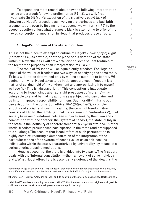To append one more remark about how the following interpretation may be understood: following preliminaries (§§1–3), we will, first, investigate (in §4) Marx's execution of the (relatively easy) task of showing up Hegel's procedure as involving arbitrariness and bad-faith argumentation, even by its own lights; second, we will turn (in §5) to the deeper question of just what diagnosis Marx is attempting to offer of the flawed conception of mediation in Hegel that produces these effects.

#### **1. Hegel's doctrine of the state in outline**

This is not the place to attempt an outline of Hegel's *Philosophy of Right*  (hereafter, *PR*) as a whole, or of the place of his doctrine of the state within it. Nevertheless I will draw attention to some salient features of the text for the purposes of an interpretation of *CHPR*. 9

 The topic of *PR* is the will or, equivalently, freedom. For Hegel to speak of the will or of freedom are two ways of specifying the same topic. To be a will—to be determined only by willing as such—is to be free. *PR*  begins from what Hegel takes to be initial appearances—freedom is a matter of seizing hold of my environment and appropriating it to myself as I see fit. (This is 'abstract right'.) This conception is inadequate, according to Hegel, since abstract right presupposes 'morality'—my being able to stand behind my actions as a subject who can claim, and be in turn imputed, responsibility for them. But 'morality', it turns out, can exist only in the context of 'ethical life' (*Sittlichkeit*), a complex structure of social relations. Ethical life, the crown of freedom, itself consists of a triad: the family (ethical life's element of 'naturalness'), civil society (a nexus of relations between subjects seeking their own ends in competition with one another: the 'system of needs'), the state.10 Only in the state is the 'actuality of concrete freedom' (*PR* §260) attained. In other words, freedom presupposes participation in the state (and presupposed this all along). The account that Hegel offers of such participation is highly complex, requiring a demonstration of the integration of the particular modes of the system of needs (i.e., of us as self-seeking individuals) within the state, characterized by universality, by means of a series of crisscrossing mediations.

 Hegel's account of the state is divided into two parts. The first part deals with the 'internal constitution'—the framework of some individual state. What Hegel offers here is essentially a defence of the idea that the

S & C R I T I Q U E / Volume 8

Issue 2

C R I S I

sometimes verge on the comical' (81). Whatever else may be said about Longuenesse's claims, they are sufficient to demonstrate that her acquaintance with Della Volpe's project is at best cursory.

<sup>9</sup> For more on Hegel's *Philosophy of Right* and its doctrine of the state, see Schuringa (forthcoming).

<sup>10</sup> Michael Theunissen plausibly proposes (1994: 477) that the structure abstract right–morality–ethical life replicates the structure being–essence–concept in the Logic.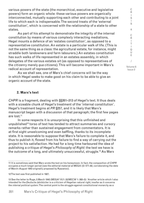various powers of the state (the monarchical, executive and legislative powers) form an organic whole: these various powers are organically interconnected, mutually supporting each other and contributing to a joint life to which each is indispensable. The second treats of the 'external constitution', which is concerned with the relationship of a state to other states.

 As part of his attempt to demonstrate the integrity of the internal constitution by means of various complexly interacting mediations, Hegel mounts a defence of an 'estates constitution', as opposed to a representative constitution. An estate is a particular walk of life. (This is not the same thing as a class: the agricultural estate, for instance, might straddle both landowners and farm labourers.) An estates constitution has such walks of life represented in an estates assembly, in which delegates of the various estates sit (as opposed to representatives of the citizenry merely *qua* citizens). This will become important in Marx's radical account of representation.

 As we shall see, one of Marx's chief concerns will be the way in which Hegel seeks to make good on his claim to be able to give an organic account of the state.

#### **2. Marx's text**

*CHPR* is a fragment, dealing with §§261–313 of Hegel's text. It thus deals with a sizeable chunk of Hegel's treatment of the 'internal constitution'. Hegel's treatment begins at *PR* §257, and it is likely that Marx's manuscript began with a discussion of that paragraph; the first few pages are lost.11

 In some respects it is unsurprising that this unfinished and unpublished<sup>12</sup> torso of text has tended to attract summaries and cursory remarks rather than sustained engagement from commentators. It is at first sight unwelcoming and even baffling, thanks to its incomplete state. It is reasonable to suppose that Marx's failure to complete it, and thus to publish it, flowed from his failure to find a way of carrying out the project to his satisfaction. He had for a long time harboured the idea of publishing a critique of Hegel's *Philosophy of Right*: the text we have is the outcome of a long, and ultimately unsuccessful, struggle.13 As Marx

C R I

<sup>11</sup> It is sometimes said that Marx wrote the text on his honeymoon. In fact, the composition of *CHPR*  occupies a much longer period (see the editorial material at MEGA I/2: 571–82, corroborating the date of March–August 1843 originally proposed by Ryazanov).

<sup>12</sup> The text was first published in 1927.

<sup>13</sup> See the letter to Ruge, 5 March 1842 (MEGA<sup>2</sup> III/1: 22/MECW 1: 382–3): 'Another article which I also intended for the *Deutsche Jahrbücher* is a criticism of Hegelian natural right, insofar as it concerns the *internal political system*. The central point is the struggle against *constitutional monarchy* as a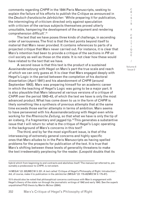comments regarding *CHPR* in the 1844 Paris Manuscripts, seeking to explain the failure of his efforts to publish the *Critique* as announced in the *Deutsch-französische Jahrbücher*: 'While preparing it for publication, the intermingling of criticism directed only against speculation with criticism of the various subjects themselves proved utterly unsuitable, hampering the development of the argument and rendering comprehension difficult'.14

The text that we have poses three kinds of challenge, in ascending order of seriousness. The first is that the text points beyond itself to material that Marx never provided. It contains references to parts of a projected critique that Marx never carried out. For instance, it is clear that Marx's intention had been to provide a critique of the sections in *PR* on civil society as well as those on the state. It is not clear how these would have related to the text that we have.

A second issue is that this text is the product of a sustained *Auseinandersetzung* with Hegel on Marx's part the true scale and reach of which we can only guess at. It is clear that Marx engaged deeply with Hegel's Logic in the period between the completion of his doctoral dissertation (April 1841) and his abandonment of *CHPR* (around September 1843). Marx was preparing himself for an academic career in which the teaching of Hegel's Logic was going to be a major part. It is also plausible that Marx laboured at various versions of a critique of *CHPR* over the period 1842–43, of which the text we have is only the most advanced product. What has come down to us in the form of *CHPR* is likely something like a synthesis of previous attempts that at the same time exceeds those earlier attempts in terms of ambition. Marx seems to have persevered with his *Auseinandersetzung* with Hegel even while working for the *Rheinische Zeitung*, so that what we have is only the tip of an iceberg, if a fragmentary and jagged tip.<sup>15</sup>This generates a substantive issue that I will return to: what is the critique of Hegel's Logic operating in the background of Marx's concerns in this text?

The third, and by far the most significant issue, is that of the interweaving of extremely general concerns and highly specific ones that Marx alludes to in the Paris Manuscripts as having spelled problems for the prospects for publication of the text. It is true that Marx's shifting between these levels of generality threatens to make the text irredeemably perplexing for the reader. (Leopold doubts that its Issue 2

C R I S

hybrid which from beginning to end contracts and abolishes itself.' The manuscript referred to, presumably a predecessor to *CHPR*, is not extant.

<sup>14</sup> MEGA2 I/2: 325/MECW 3: 231. A text called 'Critique of Hegel's Philosophy of Right. Introduction', did, of course, make it to publication in the *Jahrbücher* (MEGA2 I/2: 170–83/MECW 3: 175–87).

<sup>15</sup> It should also be noted that philosophical concerns continuous with Marx's engagement with Hegel's theory of the state run through the journalistic writings of 1842 and early 1843. See the superb unpublished PhD thesis by Martin McIvor (2004).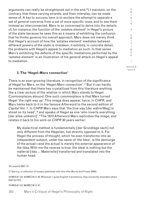arguments can really be straightened out in the end.16) I maintain, on the contrary, that these varying strands, and their interplay, can be made sense of. A key to success here is to eschew the attempt to *separate* a set of general concerns from a set of more specific ones, and to see them instead as interconnected. Marx is so concerned to delve into the details of, for instance, the function of the 'estates element' in Hegel's picture of the state because he sees this as a means of exhibiting the confusion that he thinks governs his overall approach. Marx does not merely think that Hegel's account of how the 'estates element' mediates between different powers of the state is mistaken: it exhibits, in concrete detail, the problems with Hegel's appeal to mediation as such. In that sense Marx's exhibiting the defects of the specific mediations performed by the 'estates element' is an illustration of his general attack on Hegel's appeal to mediation.

#### **3. The 'Hegel–Marx connection'**

There is an ever-growing literature, in recognition of the significance of Hegel for Marx, on the 'Hegel–Marx connection'.17 But it can hardly be maintained that there has crystallized from this literature anything like a clear picture of the relation in which Marx stands to Hegel. Commonplaces abound. One such commonplace is that Marx turned Hegel 'the right way up'. This image does appear, twice, in *CHPR*, and Marx harks back to it in the famous Afterword to the second edition of *Capital* Vol. 1. In *CHPR* Marx says that 'the true way [der wahre Weg] is stood on its head',<sup>18</sup> and speaks of Hegel as one 'who inverts everything [der alles umkehrt]'.<sup>19</sup> The 1873 Afterword Marx replicates the image, and relates it back to his work on *CHPR* 30 years earlier:

My dialectical method is fundamentally [der Grundlage nach] not only different from the Hegelian, but directly opposed to it. For Hegel the process of thought, which he even transforms into an independent subject, under the name of 'the Idea', is the demiurge of the actual—and the actual is merely the external appearance of the Idea. With me the reverse is true: the ideal is nothing but the material [das … Materielle] transferred and translated into the human head.

16 Leopold 2007: 21.

17 See e.g. a collection of essays published with this title (Burns and Fraser 2000).

18 MEGA<sup>2</sup> I/2: 43/MECW 3: 40. Wherever I quote English translations, they are tacitly emended where appropriate.

19 MEGA2 I/2: 96/MECW 3: 87.

C R  $\mathbf{I}$ S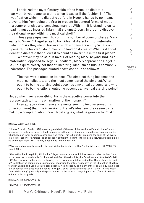I criticized the mystificatory side of the Hegelian dialectic nearly thirty years ago, at a time when it was still the fashion. […] The mystification which the dialectic suffers in Hegel's hands by no means prevents him from being the first to present its general forms of motion in a comprehensive and conscious manner. With him it is standing on its head. It must be inverted [Man muß sie umstülpen], in order to discover the rational kernel within the mystical shell.<sup>20</sup>

These passages seem to confirm a number of commonplaces. Marx wants to 'invert'<sup>21</sup> Hegel so as to turn idealist dialectic into materialist dialectic.22 As they stand, however, such slogans are empty. What could it possibly be for idealistic dialectic to land on its feet?<sup>23</sup> What is it about idealistic dialectic that allows it to count as invertible in the first place?

 Whatever may be said in favour of reading Marx, beyond 1843, as a 'materialist', opposed to Hegel's 'idealism', Marx's approach to Hegel in *CHPR* is quite clearly not that of 'inverting' idealism as this is commonly understood. The passages quoted above continue as follows:

The true way is stood on its head. The simplest thing becomes the most complicated, and the most complicated the simplest. What ought to be the starting point becomes a mystical outcome, and what ought to be the rational outcome becomes a mystical starting point.<sup>24</sup>

Hegel, who inverts everything, turns the executive power into the representative, into the emanation, of the monarch.<sup>25</sup>

Even at face value, these statements seem to involve something other (or more) than the inversion of Hegel's idealism: they seem to be making a complaint about how Hegel argues, what he goes on to *do*. And

20 MEW 23: 27/*Cap*. I: 102.

21 Hans Friedrich Fulda (1974) makes a great deal of the use of the word *umstülpen* in the Afterword passage: the metaphor here, as Fulda suggests, is that of turning a glove inside-out. In other words, what becomes inner becomes outer, and vice versa. This is helpful in breaking the spell of the overly simple metaphor of 'inversion' as supposedly sufficient to capture the relation between Hegel's dialectic and that of Marx. But it is only a beginning in this direction.

22 Note also Marx's reference to 'the materialist basis of my method' in the Afterword (MEW 23: 25/ *Cap*. I: 100).

23 Note that Lenin explicitly thinks that 'Hegel is materialism which has been stood on its head', and so he resolves to 'cast aside for the most part God, the Absolute, the Pure Idea, etc.' (quoted Colletti 1973: 24). But what is the basis for thinking that it is a materialist inversion that Hegel stands in need of? Colletti gives compelling arguments for regarding the effective identity of the 'dialectics of nature' found in Engels and Lenin with Hegel's speculative philosophy as a mark of their complicity in an idealism essential to dialectic as it is found in Hegel. Colletti concludes that Lenin '"tried" to read Hegel "materialistically" precisely at the place where the latter was … negating matter' (Colletti 1973: 25; ellipsis in the original).

24 MEGA2 I/2: 43/MECW 3: 40.

25 MEGA2 I/2: 96/MECW 3: 87.

354 Marx's Critique of Hegel's Philosophy of Right

R I S I S & C R I T I Q U E / Volume 8 Issue 2

C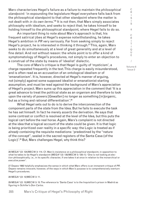Marx characterizes Hegel's failure as a failure to maintain the *philosophical standpoint*: 'in expounding the legislature Hegel everywhere falls back from the philosophical standpoint to that other standpoint where the matter is not dealt with *in its own terms*.'26 It is not then, that Marx simply associates philosophy with idealism, and seeks to reject that; he takes himself to be holding himself to the philosophical standpoint, where Hegel fails to do so.

An important thing to note about Marx's approach is that, his frequent satirical jibes at Hegel's expense notwithstanding, he takes Hegel's ambition in *PR* very seriously. Far from seeking simply to reject Hegel's project, he is interested in thinking it through.27 This, again, Marx seeks to do simultaneously at a level of great generality and at a level of fine detail. And not without reason: the whole point is to offer a kind of symptomatology of Hegel's procedures, not simply to enter an objection to a construal of the state by means of 'idealist' dialectic.

The core of Marx's critique is that Hegel is guilty of 'mysticism', a charge repeated frequently in the text. This charge is easily misunderstood, and is often read as an accusation of an ontological idealism or of 'emanationism'. It is, however, directed at Hegel's manner of arguing, not (simply) against some supposed idealist or emanationist starting assumption, and must be read against the background of Marx's appreciation of Hegel's project. Marx sums up this appreciation in the comment that 'It is a great advance to treat the political state as an organism and therefore to look upon the variety of powers [*Gewalten*] no longer as something [in]organic, but as a living and rational differentiation'.<sup>28</sup>

What Hegel sets out to do is to derive the interconnection of the component parts of the state from the Idea. But he fails to execute the task he has set himself. In fact he merely *asserts* the derivation. He says that some contrast or conflict is resolved at the level of the Idea, but this puts the logical cart before the real horse. Again, Marx's complaint is not directed at the idea that a logical account of the state could be given. It is that logic is being prioritized over reality in a specific way: the Logic is treated as if *already* containing the requisite mediations: 'predestined by the "nature of the concept", sealed in the sacred registers of the Santa Casa (of the Logic)'.29 But, Marx challenges Hegel, why think this?

28 MEGA2 I/2: 12/MECW 3: 11.

29 MEGA2 I/2: 15/MECW 3: 15. The reference to 'Santa Casa' is to the Inquisition's prison in Madrid as figuring in Schiller's *Don Carlos*.

I Q U E / Volume 8

C R I S I S & C R I T

Issue 2

<sup>26</sup> MEGA2 I/2: 124/MECW 3: 114. Cf. Marx's insistence on a *philosophical* standpoint, in opposition to what he takes to be Hegel's standpoint (MEGA<sup>2</sup> I/2: 130/MECW 3: 120–1): 'One is not looking at *election* philosophically, i.e., in its specific character, if one takes it at once in relation to the *monarchical* or *executive power*'.

<sup>27</sup> Depew 1992 helpfully emphasizes the sense in which what Marx offers is an immanent critique of *PR*. Depew remains innocent, however, of the ways in which Marx's purpose is to comprehensively overturn Hegel's procedures.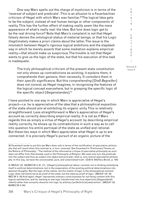One way Marx spells out the charge of mysticism is in terms of the 'reversal of subject and predicate'. This is an allusion to a Feuerbachian criticism of Hegel with which Marx was familiar.<sup>30</sup> The logical Idea gets to be the subject, instead of real human beings or other components of reality. This has the further effect of making *reality* seem like the mere *appearance* of what's really real: the Idea. But how does logic get to be the real driving force? Note that Marx's complaint is not that Hegel falsely denies the ontological status of material beings, or that his Logic illegitimately makes a priori claims about the latter. The issue is the mismatch between Hegel's rigorous logical ambitions and the slapdash way in which he merely *asserts* that some mediation explains empirical reality—*that* should make us suspicious. The trouble is not that Hegel wants to give us the logic of the state, but that his execution of this task is inadequate:

The truly philosophical criticism of the present state constitution not only shows up contradictions as existing; it *explains* them, it comprehends their genesis, their necessity. It considers them in their *specific* significance. But this *comprehending* [Dieß *Begreifen*] does not consist, as Hegel imagines, in recognising the features of the logical concept everywhere, but in grasping the specific logic of the specific object [Gegenstandes].<sup>31</sup>

I have pointed to one way in which Marx is *appreciative* of Hegel's project—i.e. he is appreciative of the idea that a philosophical exposition of the state should aim at exhibiting its organic unity. This is relatively straightforward. Less straightforward is Marx's appreciation of Hegel's account as correctly describing empirical reality. It is not as if Marx regards this as simply a virtue of Hegel's account: by describing empirical reality correctly, he shows up its contradictions in such a way as to call into question his entire portrayal of the state as unified and rational. But these two ways in which Marx appreciates what Hegel is up to are connected: it is precisely Hegel's pursuit of an organic picture of the

C R I S I S & C

<sup>30</sup> Feuerbach tends to put this (as Marx does not) in terms of the rectification of speculative philosophy that will result when this reversal is, in turn, reversed. See Feuerbach's 'Preliminary Theses on the Reform of Philosophy': 'The method of the reformative critique of *speculative philosophy* as such does not differ from that already used in the *Philosophy of Religion*. We need only turn the *predicate*  into the *subject* and thus as *subject* into *object* and *principle*—that is, only *reverse* speculative philosophy. In this way, we have the unconcealed, pure, and untarnished truth.' (GW 9: 244/*Fiery Brook*, p. 154)

<sup>31</sup> MEGA2 I/2: 100/MECW 3: 91. Cf.: '[Hegel's] philosophical labour consists not in thinking embodying itself in political determinations, but in the evaporation of the existing political determinations into abstract thoughts. Not the logic of the matter, but the matter of logic is the philosophical moment. Logic does not [here] serve as proof of the state, but the state as proof of logic.' (MEGA $^2$  l/2: 18/ MECW 3: 18) And again, Hegel 'reproaches ordinary consciousness for not being content with this logical satisfaction, and for wanting to see logic transformed into true objectivity [Gegenständlichkeit] rather than actuality dissolve into logic by *arbitrary* [*willkührliche*] abstraction'. (MEGA2 I/2: 68/MECW 3: 64)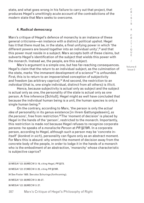state, and what goes wrong in his failure to carry out that project, that produces Hegel's unwittingly acute account of the contradictions of the modern state that Marx seeks to overcome.

#### **4. Radical democracy**

Marx's critique of Hegel's defence of monarchy is an instance of these general criticisms—an instance with a distinct political upshot. Hegel has it that there must be, in the state, a final unifying power in which 'the different powers are bound together into an individual unity', $32$  and that this power must reside in a subject. Marx accepts both of these claims, but subverts Hegel's identification of the subject that wields this power with the monarch. Instead *we*, the people, are this subject.

Marx's argument is a simple one, but has far-reaching consequences. Hegel's claim that the return to an individual subject, as the culmination of the state, marks 'the immanent development of a science'<sup>33</sup> is unfounded. First, this is to return to an impoverished conception of subjectivity and freedom (as arbitrary caprice).<sup>34</sup> And second, the restriction to an *individual* (that is, one single individual, distinct from all others) is illicit.

Hence, because subjectivity is actual only as subject and the subject is actual only as one, the personality of the state is actual only as one person. A fine inference [Schluß]. Hegel might as well have concluded that because the individual human being is a unit, the human species is only a single human being.<sup>35</sup>

On the contrary, according to Marx, 'the person is only the *actual idea* of personality in its genus existence [in ihrem Gattungsdasein], *as the persons*', free from restriction.<sup>36</sup> The 'moment of decision' is placed by Hegel in the hands of the 'person', restricted to the monarch. Importantly, this restriction is made *not* because Hegel refuses to recognize corporate persons: he speaks of a *moralische Person* at *PR* §279R. In a corporate person, according to Hegel, although such a person may be 'concrete initself' (*konkret in sich*), personality can figure only as an abstract moment. For Marx this is absurd: why wrench the moment of decision away from the concrete body of the people, in order to lodge it in the hands of a monarch who is the embodiment of an abstraction, 'monarchy' whose characteristic is subjective caprice?

32 MEGA2 I/2: 20/MECW 3: 19, citing Hegel, *PR* §273.

33 MEGA2 I/2: 27/MECW 3: 25, citing *PR* §279R.

34 See Foster 1935. See also Schuringa (forthcoming).

35 MEGA2 I/2: 28/MECW 3: 26–27.

36 MEGA2 I/2: 28/MECW 3: 27.

C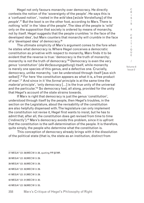Hegel not only favours monarchy over democracy. He directly contests the notion of the 'sovereignty of the people'. He says this is a 'confused notion', 'rooted in the *wild* idea [*wüste* Vorstellung] of the *people*'.37 But the boot is on the other foot, according to Marx. There is nothing 'wild' in the 'idea of the people'. The idea of the people is 'wild' only on the supposition that society is ordered by means of monarchy, not by itself. Hegel suggests that the people crumbles 'in the face of the developed idea', but Marx counters that monarchy will crumble in the face of a 'developed idea' of democracy.38

The ultimate simplicity of Marx's argument comes to the fore when he states what democracy is. Where Hegel conceives a democratic constitution as privative with respect to monarchy, Marx finds it to be evident that the reverse is true: 'democracy is the truth of monarchy; monarchy is not the truth of democracy.<sup>139</sup> Democracy is even the very *genus* 'constitution' (*die Verfassungsgattung*) itself, while monarchy is merely one species of this genus, and a defective one. Crucially, democracy, unlike monarchy, 'can be understood through itself [aus sich selbst]'.<sup>40</sup> For here 'the constitution appears as what it is, a free product of man'.41 And since in it 'the *formal* principle is at the same time the *material* principle', 'only democracy [...] is the true unity of the universal and the particular.<sup>142</sup> So democracy had, all along, provided for the unity that Hegel's account of the state strains towards.

If Marx is right that democracy is just the genus 'constitution', understood through itself by the people, then Hegel's troubles, in the section on the Legislature, about the revisability of the constitution are also helpfully dispensed with. The legislature can only implement the constitution not revise it, Hegel first wants to insist, but he has to admit that, after all, the constitution does get revised from time to time ('indirectly').43 Marx's democracy avoids this problem, since it is upfront that the constitution is the self-determination of the people. It is therefore, quite simply, the people who determine what the constitution is.

 This conception of democracy already brings with it the dissolution of the political state (that is, the state as an institution, distinct from

37 MEGA2 I/2: 29/MECW 3: 28, quoting *PR* §279R.

38 MEGA2 I/2: 30/MECW 3: 29.

39 MEGA2 I/2: 30/MECW 3: 29.

40 MEGA2 I/2: 30/MECW 3: 29.

41 MEGA2 I/2: 31/MECW 3: 29.

42 MEGA2 I/2: 31/MECW 3: 30.

43 MEGA2 I/2: 59/MECW 3: 55.

358 Marx's Critique of Hegel's Philosophy of Right

C R  $\mathbf{I}$ S I S & C R I T I Q U E / Volume 8

Issue 2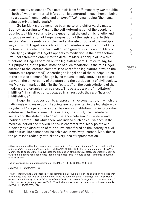human society as such).44 This sets it off from *both* monarchy *and* republic, in both of which an internal bifurcation is generated in each human being, into a *political* human being and an *unpolitical* human being (the human being as private individual).45

So far Marx's argument has been quite straightforwardly made. But how, according to Marx, is the self-determination of the people to be effected? Marx returns to this question at the end of his lengthy and tortuous examination of Hegel's exposition of the legislature. In this section Marx presents a complex and elaborate critique of the multiple ways in which Hegel resorts to various 'mediations' in order to hold his picture of the state together. I will offer a general discussion of Marx's underlying critique of Hegel's appeals to mediation in the next section; I will not attempt to enter into the detail of Marx's critique of how this functions in Hegel's section on the legislature here. Suffice to say, for our purposes, that a prime instance of such mediation is the role Hegel ascribes to the 'estates element' (the part of the legislature in which the estates are represented). According to Hegel one of the principal roles of the estates element (though by no means its only one), is to mediate between the universality of the state and the particularity of civil society. As Marx summarizes this, 'In the "estates" all the contradictions of the modern state organisation coalesce. The estates are the "mediators" ["Mittler"] in all directions, because in all respects they are "hybrids" ["Mitteldinge"].'46

Hegel, in his opposition to a representative constitution, in which the individuals who make up civil society are represented in the legislature by a system of 'one person one vote', favours a constitution that incorporates estates as a further element. The estates, briefly put, can mediate civil society and the state due to an equivalence between 'civil estate' and 'political estate'. But while there was indeed such an equivalence in the medieval period, the modern period is characterized, Marx points out, precisely by a disruption of this equivalence.<sup>47</sup> And so the identity of civil and political life cannot now be achieved in *that* way. Instead, Marx thinks, the point is to radically rethink the very idea of representation.

44 Marx comments that here, as certain French radicals (the Saint-Simonians?) have realized, 'the *political state is annihilated* [*untergehe*]' (MEGA2 I/2: 32/MECW 3: 30). Throughout much of *CHPR*, Marx tends to suggest that he advocates the dissolution of the *political* state, specifically. But in so far as he maintains room for a state that is not political, this (it would appear) amounts to human society as such.

45 For Marx's rejection of republicanism, see MEGA2 I/2: 32–33/MECW 3: 30–31.

46 MEGA2 I/2: 73/MECW 3: 69.

Issue 2

C R I S I

<sup>47</sup> Note, though, that Marx catches Hegel committing a Freudian slip of the pen when he notes that 'civil estate' and 'political estate' no longer have the same meaning: '*Language* itself, says Hegel, expresses the identity of *the estates of civil society* with the *estates in the political sense*—a "unity" "which moreover *formerly prevailed in fact*", and which, one must conclude, now no longer prevails.' (MEGA2 I/2: 78/MECW 3: 71)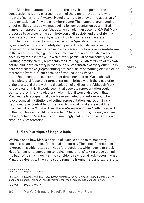Marx had maintained, earlier in the text, that the point of the constitution is just to express the will of the people—that this is what the word 'constitution' *means*. Hegel attempts to answer the question of representation as if it were a numbers game. The numbers count against direct participation, so we must settle for representation by a limited number of representatives (those who can sit in an assembly).<sup>48</sup> But Marx proposes to overcome the split between civil society and the state in a completely different way: by actualizing civil society as the state.

In this situation the significance of the *legislative* power as a *representative* power completely disappears. The legislative power is representation here in the sense in which *every* function is representative in the sense in which, e.g., the shoemaker, insofar as he satisfies a social need, is my representative, in which every particular social activity as a Gattung-activity merely represents the Gattung, i.e., an attribute of my own nature, and in which every person is the representative of every other. He is here representative [Repräsentant] not because of something else which he represents [vorstellt] but because of what he *is* and *does*. 49

 Representation is here neither direct nor indirect. We might call this a picture of 'absolute representation'. It brings with it the dissolution of the state, and therewith the dissolution of civil society. Although Marx is less clear on this, it would seem that absolute representation could be interpreted implying electoral reform. But it would also seem that Marx wants to suggest that to achieve such electoral reform would be to overcome all institutions of voting, representation, and so on, in any traditionally recognizable form, since civil society and state would be dissolved at once. What will result are '*elections unlimited* both in respect of the franchise and right to be elected'.<sup>50</sup> In other words, the only meaning to be attached to 'election' is now seemingly that of the implementation of absolute representation.

#### **5. Marx's critique of Hegel's logic**

We have seen how Marx's critique of Hegel's defence of monarchy constitutes an argument for radical democracy. This specific argument is rooted in a wider attack on Hegel's procedures, which seeks to block Hegel's manner of appealing to logical 'mediations' taking place behind the back of reality. I now want to consider this wider attack—even if what Marx provides us with on this score remains fragmentary and exploratory.

50 MEGA2 I/2: 130–31/MECW 3: 121.

S & C R I T I Q U E / Volume 8

Issue 2

C R  $\mathbf{I}$ S I

<sup>48</sup> MEGA2 I/2: 126/MECW 3: 116–17.

<sup>49</sup> MEGA2 I/2: 129/MECW 3: 119. I leave *Gattung* untranslated here, since the possible translations 'genus' and 'species' are each liable to misrepresent the generality that Marx has in view.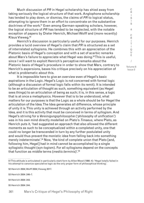Much discussion of *PR* in Hegel scholarship has shied away from taking seriously the logical structure of that work. Anglophone scholarship has tended to play down, or dismiss, the claims of *PR* to logical status, attempting to ignore them in an effort to concentrate on the substantive doctrines of the work.<sup>51</sup> Even among German-speaking scholars, however, the logical structure of *PR* has tended to be neglected, with the notable exception of papers by Dieter Henrich, Michael Wolff and (more recently) Klaus Vieweg.<sup>52</sup>

Henrich's discussion is particularly useful for our purposes. Henrich provides a lucid overview of Hegel's claim that *PR* is structured as a set of interrelated syllogisms. He combines this with an appreciation of the Platonic basis of Hegel's conception and with a set of acerbic remarks about Marx's failure to appreciate what Hegel was doing.<sup>53</sup> This is useful, since I will want to exploit Henrich's perceptive remarks about the Platonic basis of Hegel's procedure in order to show that Marx, contrary to Henrich's aspersions, bases his critique precisely on his appreciation of what is problematic about this.

It is impossible here to give an overview even of Hegel's basic aspirations in the Logic. Hegel's Logic is not concerned with formal logic (although a discussion of formal logic falls within its remit). It is intended to be an articulation of thought as such, something equivalent (as Hegel sees things) to an articulation of being as such; it is, in this sense, a logic that is at once a metaphysics. However that is to be understood, what matters for our purposes is that the Logic as a whole should be for Hegel the articulation of the Idea. The Idea generates all difference, whose principle of unity it is. This unity is achieved through an activity performed by the Idea, and it is this activity that must be conceived in terms of syllogism. And Hegel's striving for a *Vereinigungsphilosophie* ('philosophy of unification') was in his own mind directly modelled on Plato's *Timaeus*, where Plato, as Henrich puts it, 'had suggested an approach that also allowed the different moments as such to be conceptualized within a completed unity, one that could no longer be transcended in turn by any further postulated unity and would thus prevent the monistic idea from falling back into something merely indeterminate'.<sup>54</sup> Now, 'the kind of complete union that Plato [and, following him, Hegel] had in mind cannot be accomplished by a single syllogistic thought (syn-logism). For all syllogisms depend on the concepts that function as middle terms (*mediis terminis*)'.55

- 54 Henrich 2004: 243.
- 55 Henrich 2004: 244.

C R

<sup>51</sup> This attitude is articulated in particularly stark form by Allen Wood (1990: 4): 'Hegel totally failed in his attempt to canonize speculative logic as the only proper form of philosophical thinking'.

<sup>52</sup> Henrich 2004; Wolff 2004; Vieweg 2017.

<sup>53</sup> Henrich 2004: 246–7.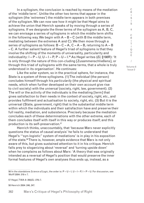In a syllogism, the conclusion is reached by means of the mediation of the 'middle term'. Unlike the other two terms that appear in the syllogism (the 'extremes') the middle term appears in both premises of the syllogism. We can now see how it might be that Hegel aims to achieve the union that Henrich speaks of by moving through a series of syllogisms. If we designate the three terms of the syllogism as A, B, C, we can envisage a series of syllogisms in which the middle term shifts in the following way. We begin with  $A - B - C$  (with B the middle term, mediating between the extremes A and C). We then move through a series of syllogisms as follows:  $B - C - A$ ,  $C - A - B$ , returning to  $A - B$ – C. A further salient feature of Hegel's triad of syllogisms is that they involve the shifting of the moments of universality, particularity and individuality: I – P – U, U – I – P, P – U – I.56 As Hegel writes (*EL* §198R): 'It is only through the nature of this con-cluding [Zusammenschließens], or through this triad of syllogisms with the same terms, that a whole is truly understood in its organisation'. He continues:

Like the solar system, so in the practical sphere, for instance, the State is a system of three syllogisms. (1) The *individual* (the person) concludes himself through his *particularity* (the physical and spiritual needs, which when further developed on their own account give rise to civil society) with the *universal* (society, right, law, government). (2) The will or the activity of the individuals is the mediating [term] that gives satisfaction to their needs in the context of society, right, etc., and provides fulfilment and actualisation to society, right, etc. (3) But it is the universal (State, government, right) that is the substantial middle term within which the individuals and their satisfaction have and preserve their full reality, mediation, and subsistence. Precisely because the mediation concludes each of these determinations with the other extreme, each of them concludes itself with itself in this way or produces itself; and this production is its self-preservation.57

Henrich thinks, unaccountably, that 'because Marx never explicitly questions the status of causal analysis' he fails to understand that Hegel's '"syn-logistic" system of mediations' is in play in his exposition of the state.<sup>58</sup> There is, however, ample evidence that Marx is not only aware of this, but gives sustained attention to it in his critique. Henrich falls prey to sloganizing about 'reversal' and 'turning upside down' when he complains as follows about Marx: 'A theory that was originally intended as a reversal of Hegel's position that would preserve the inner formal features of Hegel's own analyses thus ends up, instead, as a

56 In the standalone *Science of Logic*, the order is: P – U – I, U – I – P, I – P – U. For discussion, see Wolff 2004: 319 n 7.

57 Hegel, TWA 8: 356/*EL*: 276–7.

58 Henrich 2004: 246, 247.

C R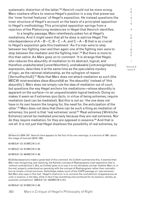systematic distortion of the latter.'<sup>59</sup> Henrich could not be more wrong. Marx nowhere offers to *reverse* Hegel's position in a way that preserves the 'inner formal features' of Hegel's exposition. He instead questions the inner structure of Hegel's account on the basis of a principled opposition to Hegel's methodology. This principled opposition springs from a rejection of the Platonizing tendencies in Hegel that Henrich identifies.

In a lengthy passage, Marx relentlessly pokes fun at Hegel's mediations. And it might seem that all he does is satirize Hegel. The interdependence of  $A - B - C$ ,  $B - C - A$ , and  $C - A - B$  that is so crucial to Hegel's exposition gets this treatment: 'As if a man were to step between two fighting men and then again one of the fighting men were to step between the mediator and the fighting man'.<sup>60</sup> But there is more to this than satire. As Marx goes on to comment: 'It is strange that Hegel, who reduces this absurdity of mediation to its abstract, logical, and therefore unadulterated [unverfälschten], unshakeable [untransigirbaren] expression, describes it at the same time as the *speculative mystery*  of logic, as the rational relationship, as the syllogism of reason [Vernunftschluß].'61 Note that Marx does not attack mediation *as such* (the MECW mistranslates *diese Absurdität* as 'the absurdity' instead of 'this absurdity'). Marx does not simply rule the idea of mediation out of court, but questions the way Hegel anchors his mediations—whose absurdity is apparent on the surface—in an unquestionable logical bedrock. Doing so makes it seem as if extremes *ipso facto*, in virtue of being extremes, require mediation (and can be mediated). But this is not so: 'the one does not have in its own bosom the longing for, the need for, the anticipation of the other'.62 Marx does not deny that there can be such a thing as mediation of extremes; his point is that 'real extremes' exist.<sup>63</sup> 'Real extremes [Wirkliche Extreme] cannot be mediated precisely because they are real extremes. Nor do they require mediation, for they are opposed in essence.'64 And that is not all. It is not just that Hegel disallows the possibility of real extremes, by

59 Henrich 2004: 247. Henrich here appears to fall foul of his own warnings, in a lecture of 1961, about the image of reversal (2010: 189).

60 MEGA2 I/2: 97/MECW 3: 87.

61 MEGA2 I/2: 97/MECW 3: 88.

62 MEGA2 I/2: 98/MECW 3: 88.

63 *Dellavolpeanismo* made a great deal of this comment. As Colletti summarizes this, it seemed that Marx was recognizing, and restoring, the Kantian concept of *Realrepugnanz* (real opposition that is 'without contradiction'). But, as Colletti goes on to say, it is not ultimately unclear whether Marx is, in the end, properly understood as operating with the concept of *Realrepugnanz* rather than contradiction at certain critical junctures. Della Volpe makes much of the *CHPR* passage on 'real extremes'. But Marx also says in this text: 'Hegel's chief error is to conceive the *contradiction of appearances* as *unity in essence*, *in the Idea*, while in fact it has something more profound for its essence, namely, an *essential contradiction*' (MEGA2 I/2: 100/MECW 3: 91).

64 MEGA2 I/2: 97/MECW 3: 88.

R I S I S & C R I T I Q U E / Volume 8 Issue 2

C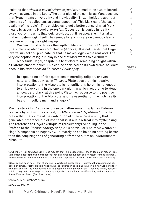insisting that *whatever pair of extremes you take*, a mediation awaits locked away in advance in the Logic. The other side of the coin is, as Marx goes on, that 'Hegel treats universality and individuality [Einzelnheit], the abstract elements of the syllogism, as actual opposites'. This Marx calls 'the basic dualism of his logic'.<sup>65</sup> This enables us to get a better sense of what Marx means by accusing Hegel of *inversion*. Opposition is denied in reality, dissolved by the unity that logic provides; but it reappears as internal to that unificatory logic itself. The remedy for such inversion cannot, clearly, be a mere turning the right way up.

We can now start to see the depth of Marx's criticism of 'mysticism' (the surface of which we scratched in §3 above). It is not merely that Hegel inverts subject and predicate, or that he makes logic do the real work. The very conception of logic in play is one that Marx wants to overturn.<sup>66</sup>

Marx finds Hegel, despite his best efforts, remaining caught within a Platonic emanationism. This can be criticized on its own terms, as Marx does in his *Notebooks on Epicurean Philosophy*:

In expounding definite questions of morality, religion, or even natural philosophy, as in *Timaeus*, Plato sees that his negative interpretation of the Absolute is not sufficient; here it is not enough to sink everything in the one dark night in which, according to Hegel, all cows are black; at this point Plato has recourse to the positive interpretation of the Absolute, and its essential form, which has its basis in itself, is myth and allegory.67

Marx is struck by Plato's recourse to myth—something Gilles Deleuze is struck by, in a similar context, in *Difference and Repetition*. 68 It is the notion that the source of the unification of difference is a unity that generates difference out of itself that is, itself, a retreat into mythmaking. The reference to Hegel's critique of (presumably) Schelling in the Preface to the *Phenomenology of Spirit* is particularly pointed: whatever Hegel's emphasis on negativity, ultimately he can be doing nothing better than the conjuring trick of generating difference out of an indeterminate Absolute.

67 MEGA2 IV/1: 105/MECW 1: 497.

68 Deleuze 2004: 73.

C R

<sup>65</sup> Cf. MEGA2 I/2: 93/MECW 3: 84: 'One may say that in his exposition of the syllogism of reason [des Vernunftschlusses] the whole transcendence and mystical dualism of his system is made apparent. The middle term is the wooden iron, the concealed opposition between universality and singularity'.

<sup>66</sup> Marx's approach here—that of seeking to overturn Hegel's logic—indicates that readings which have him simply *react* to Hegel by beginning (as Feuerbach does, and in a certain way Schelling too) from the 'positive' (as what stands over against the ideal) cannot be right. A reading which, however subtle it may be in other ways, erroneously aligns Marx with Feuerbach/Schelling in this respect is that of Manfred Frank. (See Frank 1992.)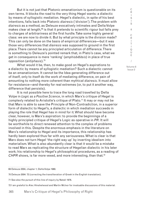But it is not just that Platonic emanationism is questionable on its own terms. It blocks the road to the very thing Hegel wants: a dialectic by means of syllogistic mediation. Hegel's dialectic, in spite of his best intentions, falls back into Platonic *diairesis* ('division'). The problem with *diairesis* as a method, as Deleuze evocatively intimates and Della Volpe makes clear at length, $69$  is that it pretends to scientific rigour but falls prey to charges of arbitrariness at the first hurdle. Take some highly general class: we are now to divide it. But by what principle is the division made? This can only be done on the basis of empirical differences—but it was those very differences that *diairesis* was supposed to ground in the first place. There cannot be any principled articulation of difference. There is something to Deleuze's pointed remark that, in Plato's case, what we get in consequence is mere 'ranking' (*amphisb*ē*t*ē*sis*) in place of true opposition (*antiphasis*).70

What would it be, then, to make good on Hegel's aspirations to a dialectic by means of syllogistic mediation? Such a dialectic cannot be an emanationism. It cannot be the Idea generating difference out of itself, only to itself do the work of mediating difference, on pain of amounting to nothing more coherent than mythical *diairesis*. It must allow for resistance—and thereby for real extremes (or, to put it another way, difference that persists).

It is not possible here to trace the long road travelled by Della Volpe in *Logic as a Positive Science*, in which Marx's critique of Hegel is complexly related to Aristotle's critique of Plato.<sup>71</sup> It may or may not be that Marx is able to save the Principle of Non-Contradiction, in a superior form of dialectic to Hegel's, a dialectic in which mediation succeeds in playing the role that Hegel has in mind for it. What should have become clear, however, is Marx's aspiration: to provide the beginnings of a highly principled critique of Hegel's Logic as operative in *PR*. It will be worthwhile to direct renewed attention to the complex of problems involved in this. Despite the enormous emphasis in the literature on Marx's relationship to Hegel and its importance, this relationship has hardly been explored thus far with any seriousness. What is clear is that Marx does not turn Hegel 'the right way up' by inverting idealism into materialism. What is also abundantly clear is that it would be a mistake to read Marx as replicating the structure of Hegelian dialectic in his later work; his relationship to Hegel's philosophical procedures, as a reading of *CHPR* shows, is far more vexed, and more interesting, than that.<sup>72</sup>

69 Deleuze 2004, chapter 1; Della Volpe 1980.

72 I am grateful to Alec Hinshelwood and Martin McIvor for invaluable discussions of this material.

R I T I Q U E /

C R I S I S & C

Volume 8 Issue 2

<sup>70</sup> Deleuze 2004: 72 (correcting the transliteration of Greek in the English translation).

<sup>71</sup> See also the pursuit of this line of inquiry by Natali 1976.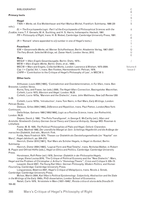#### **Primary texts**

|         | Primary texts                                                                                                                                                                                |          |
|---------|----------------------------------------------------------------------------------------------------------------------------------------------------------------------------------------------|----------|
|         | Hegel                                                                                                                                                                                        |          |
|         | TWA = Werke, ed. Eva Moldenhauer and Karl Markus Michel, Frankfurt: Suhrkamp, 1986 (20                                                                                                       | S        |
| vols.). |                                                                                                                                                                                              |          |
|         | $EL = The Encyclopedia Logic: Part I of the Encyclopedia of Philadelphia Sciences with the$<br>Zusätze, trans. T. F. Geraets, W. A. Suchting, and H. S. Harris, Indianapolis: Hackett, 1991. | &        |
|         | PR = Philosophy of Right, trans. H. B. Nisbet, Cambridge: Cambridge University Press, 1991.                                                                                                  |          |
|         |                                                                                                                                                                                              | R        |
|         | $(R = 'Remark'$ where appended to a $\S$ number in one of Hegel's texts.)                                                                                                                    |          |
|         |                                                                                                                                                                                              |          |
|         | Feuerbach                                                                                                                                                                                    |          |
|         | GW = Gesammelte Werke, ed. Werner Schuffenhauer, Berlin: Akademie-Verlag, 1967–2007.                                                                                                         |          |
|         | <i>The Fiery Brook: Selected Writings, ed. Zawar Hanfi, London: Verso, 2012.</i>                                                                                                             | U        |
|         |                                                                                                                                                                                              |          |
|         | <b>Marx</b>                                                                                                                                                                                  |          |
|         | $MEGA^2 =$ Marx Engels Gesamtausgabe, Berlin: Dietz, 1975-.                                                                                                                                  |          |
|         | MEW = Marx-Engels-Werke, Berlin: Dietz, et al., 1956-.                                                                                                                                       |          |
|         | MECW = Marx and Engels, <i>Collected Works</i> , London: Lawrence & Wishart, 1975–2004.                                                                                                      | Volume 8 |
|         | <i>Cap.</i> I = <i>Capital</i> , Vol. 1, trans. Ben Fowkes, Harmondsworth: Pelican, 1976.                                                                                                    | Issue 2  |
|         | $CHPR = 'Contribution$ to the Critique of Hegel's Philosophy of Law', in MECW 3.                                                                                                             |          |

C R

#### **Other texts**

3–29.

Althusser, Louis 2005 [1965], 'Contradiction and Overdetermination, in *For Marx*, trans. Ben Brewster, London: Verso.

Burns, Tony, and Fraser, Ian (eds.) 2000, *The Hegel–Marx Connection*, Basingstoke: Macmillan. Colletti, Lucio 1973, *Marxism and Hegel*. London: NLB.

Colletti, Lucio 1975a, 'Marxism and the Dialectic', trans. John Matthews, *New Left Review* I/93:

Colletti, Lucio 1975b, 'Introduction', trans. Tom Nairn, in Karl Marx, *Early Writings*, London: Pelican Books.

Deleuze, Gilles 2004 [1968], *Difference and Repetition*, trans. Paul Patton, London/New York: Continuum.

Della Volpe, Galvano 1980 [1950/1969], *Logic as a Positive Science*, trans. Jon Rothschild, London: NLB.

Depew, David J. 1992, 'The Polis Transfigured', in George E. McCarthy (ed.), *Marx and Aristotle: Nineteenth-Century German Social Theory and Classical Antiquity*, Savage MD: Rowman & Littlefield.

Foster, M. B. 1935, *The Political Philosophies of Plato and Hegel*, Oxford: Clarendon. Frank, Manfred 1992, *Der unendliche Mangel an Sein: Schellings Hegelkritik und die Anfänge der marxschen Dialektik*, 2nd edn., Munich: Fink.

Fulda, Hans Friedrich 1974, 'Thesen zur Dialektik als Darstellungsmethode (im "Kapital" von Marx)', *Hegel-Jahrbuch*, pp. 204–210.

Henrich, Dieter 2010 [1961], 'Karl Marx als Schüler Hegels, in *Hegel im Kontext*, Berlin: Suhrkamp.

Henrich, Dieter 2004 [1982], 'Logical Form and Real Totality', trans. Nicholas Walker, in Robert B. Pippin and Otfried Höffe (eds.), *Hegel on Ethics and Politics*, Cambridge: Cambridge University **Press** 

Horstmann, Rolf-Peter (ed.) 1978, *Seminar: Dialektik in der Philosophie Hegels*.

Lange, Elena Louisa 2016, 'The Critique of Political Economy and the "New Dialectic": Marx, Hegel and the Problem of Christopher J. Arthur's "Homology Thesis"', *Crisis and Critique* 3: 235–72.

Leopold, David 2007, *The Young Karl Marx: German Philosophy, Modern Politics, and Human Flourishing*, Cambridge: Cambridge University Press.

Longuenesse, Béatrice 2007, *Hegel's Critique of Metaphysics*, trans. Nicole J. Simek, Cambridge: Cambridge University Press.

McIvor, Martin 2004, *Karl Marx's Political Epistemology: Subjectivity, Abstraction and the State in the Writings of the Early 1840s*, PhD dissertation, London School of Economics.

Natali, Carlo 1976, 'Aristotele in Marx (1837–1846)', *Rivista critica di storia della filosofia* 31: 164–92.